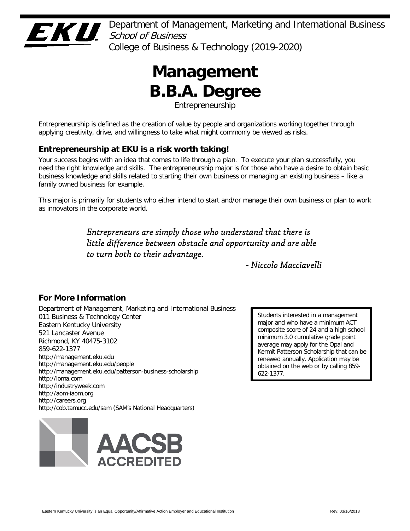

Department of Management, Marketing and International Business  $School$  of Business College of Business & Technology (2019-2020)

# **Management B.B.A. Degree**

Entrepreneurship

Entrepreneurship is defined as the creation of value by people and organizations working together through applying creativity, drive, and willingness to take what might commonly be viewed as risks.

# **Entrepreneurship at EKU is a risk worth taking!**

Your success begins with an idea that comes to life through a plan. To execute your plan successfully, you need the right knowledge and skills. The entrepreneurship major is for those who have a desire to obtain basic business knowledge and skills related to starting their own business or managing an existing business – like a family owned business for example.

This major is primarily for students who either intend to start and/or manage their own business or plan to work as innovators in the corporate world.

> *Entrepreneurs are simply those who understand that there is little difference between obstacle and opportunity and are able to turn both to their advantage.*

> > *- Niccolo Macciavelli*

# **For More Information**

Department of Management, Marketing and International Business 011 Business & Technology Center Eastern Kentucky University 521 Lancaster Avenue Richmond, KY 40475-3102 859-622-1377 http://management.eku.edu http://management.eku.edu/people http://management.eku.edu/patterson-business-scholarship http://ioma.com http://industryweek.com http://aom-iaom.org http://careers.org http://cob.tamucc.edu/sam (SAM's National Headquarters)



Students interested in a management major and who have a minimum ACT composite score of 24 and a high school minimum 3.0 cumulative grade point average may apply for the Opal and Kermit Patterson Scholarship that can be renewed annually. Application may be obtained on the web or by calling 859- 622-1377.